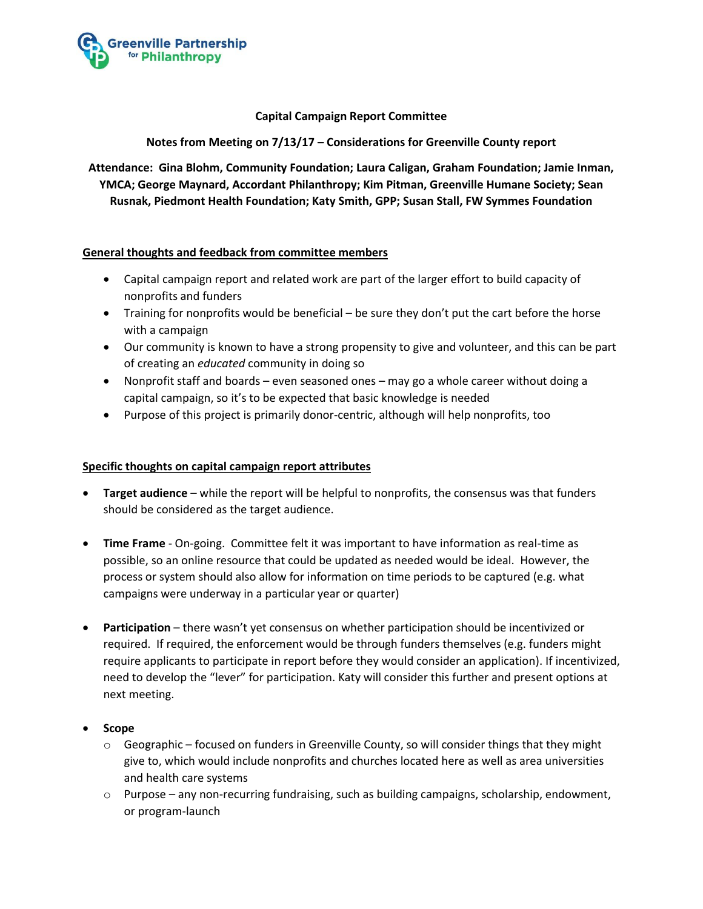

# **Capital Campaign Report Committee**

### **Notes from Meeting on 7/13/17 – Considerations for Greenville County report**

**Attendance: Gina Blohm, Community Foundation; Laura Caligan, Graham Foundation; Jamie Inman, YMCA; George Maynard, Accordant Philanthropy; Kim Pitman, Greenville Humane Society; Sean Rusnak, Piedmont Health Foundation; Katy Smith, GPP; Susan Stall, FW Symmes Foundation**

# **General thoughts and feedback from committee members**

- Capital campaign report and related work are part of the larger effort to build capacity of nonprofits and funders
- Training for nonprofits would be beneficial be sure they don't put the cart before the horse with a campaign
- Our community is known to have a strong propensity to give and volunteer, and this can be part of creating an *educated* community in doing so
- Nonprofit staff and boards even seasoned ones may go a whole career without doing a capital campaign, so it's to be expected that basic knowledge is needed
- Purpose of this project is primarily donor-centric, although will help nonprofits, too

#### **Specific thoughts on capital campaign report attributes**

- **Target audience**  while the report will be helpful to nonprofits, the consensus was that funders should be considered as the target audience.
- **Time Frame** On-going. Committee felt it was important to have information as real-time as possible, so an online resource that could be updated as needed would be ideal. However, the process or system should also allow for information on time periods to be captured (e.g. what campaigns were underway in a particular year or quarter)
- **Participation** there wasn't yet consensus on whether participation should be incentivized or required. If required, the enforcement would be through funders themselves (e.g. funders might require applicants to participate in report before they would consider an application). If incentivized, need to develop the "lever" for participation. Katy will consider this further and present options at next meeting.

#### **Scope**

- $\circ$  Geographic focused on funders in Greenville County, so will consider things that they might give to, which would include nonprofits and churches located here as well as area universities and health care systems
- $\circ$  Purpose any non-recurring fundraising, such as building campaigns, scholarship, endowment, or program-launch